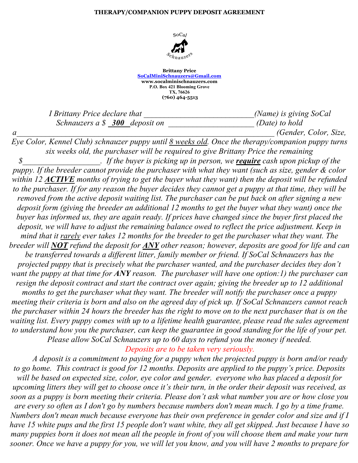## **THERAPY/COMPANION PUPPY DEPOSIT AGREEMENT**



**Brittany Price SoCalMiniSchnauzers@Gmail.com www.socalminischnauzers.com P.O. Box 421 Blooming Grove TX, 76626 (760) 464-5513**

*I Brittany Price declare that \_\_\_\_\_\_\_\_\_\_\_\_\_\_\_\_\_\_\_\_\_\_\_\_\_\_\_(Name) is giving SoCal Schnauzers a \$ 300 deposit on \_\_\_\_\_\_\_\_\_\_\_\_\_\_\_\_\_\_\_\_\_ (Date) to hold* 

*a\_\_\_\_\_\_\_\_\_\_\_\_\_\_\_\_\_\_\_\_\_\_\_\_\_\_\_\_\_\_\_\_\_\_\_\_\_\_\_\_\_\_\_\_\_\_\_\_\_\_\_\_\_\_\_\_\_\_\_\_\_\_\_ (Gender, Color, Size,*

*Eye Color, Kennel Club) schnauzer puppy until 8 weeks old. Once the therapy/companion puppy turns six weeks old, the purchaser will be required to give Brittany Price the remaining \$\_\_\_\_\_\_\_\_\_\_\_\_\_\_\_\_\_\_\_. If the buyer is picking up in person, we require cash upon pickup of the puppy. If the breeder cannot provide the purchaser with what they want (such as size, gender & color within 12 ACTIVE months of trying to get the buyer what they want) then the deposit will be refunded to the purchaser. If for any reason the buyer decides they cannot get a puppy at that time, they will be removed from the active deposit waiting list. The purchaser can be put back on after signing a new deposit form (giving the breeder an additional 12 months to get the buyer what they want) once the buyer has informed us, they are again ready. If prices have changed since the buyer first placed the deposit, we will have to adjust the remaining balance owed to reflect the price adjustment. Keep in mind that it rarely ever takes 12 months for the breeder to get the purchaser what they want. The breeder will NOT refund the deposit for ANY other reason; however, deposits are good for life and can be transferred towards a different litter, family member or friend. If SoCal Schnauzers has the projected puppy that is precisely what the purchaser wanted, and the purchaser decides they don't want the puppy at that time for ANY reason. The purchaser will have one option:1) the purchaser can resign the deposit contract and start the contract over again; giving the breeder up to 12 additional months to get the purchaser what they want. The breeder will notify the purchaser once a puppy meeting their criteria is born and also on the agreed day of pick up. If SoCal Schnauzers cannot reach the purchaser within 24 hours the breeder has the right to move on to the next purchaser that is on the waiting list. Every puppy comes with up to a lifetime health guarantee, please read the sales agreement to understand how you the purchaser, can keep the guarantee in good standing for the life of your pet. Please allow SoCal Schnauzers up to 60 days to refund you the money if needed. Deposits are to be taken very seriously.*

*A deposit is a commitment to paying for a puppy when the projected puppy is born and/or ready to go home. This contract is good for 12 months. Deposits are applied to the puppy's price. Deposits will be based on expected size, color, eye color and gender. everyone who has placed a deposit for upcoming litters they will get to choose once it's their turn, in the order their deposit was received, as soon as a puppy is born meeting their criteria. Please don't ask what number you are or how close you are every so often as I don't go by numbers because numbers don't mean much. I go by a time frame. Numbers don't mean much because everyone has their own preference in gender color and size and if I have 15 white pups and the first 15 people don't want white, they all get skipped. Just because I have so many puppies born it does not mean all the people in front of you will choose them and make your turn sooner. Once we have a puppy for you, we will let you know, and you will have 2 months to prepare for*